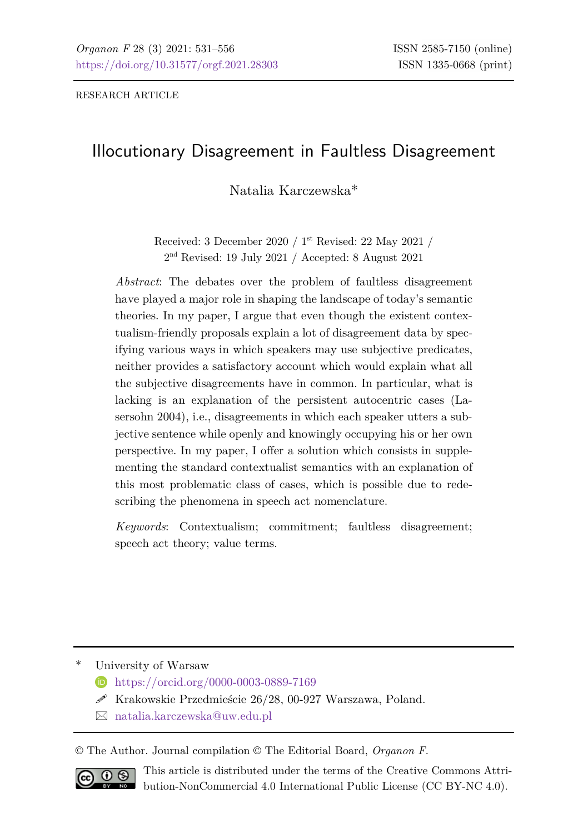# Illocutionary Disagreement in Faultless Disagreement

Natalia Karczewska\*

Received: 3 December 2020 / 1st Revised: 22 May 2021 / 2nd Revised: 19 July 2021 / Accepted: 8 August 2021

*Abstract*: The debates over the problem of faultless disagreement have played a major role in shaping the landscape of today's semantic theories. In my paper, I argue that even though the existent contextualism-friendly proposals explain a lot of disagreement data by specifying various ways in which speakers may use subjective predicates, neither provides a satisfactory account which would explain what all the subjective disagreements have in common. In particular, what is lacking is an explanation of the persistent autocentric cases (Lasersohn 2004), i.e., disagreements in which each speaker utters a subjective sentence while openly and knowingly occupying his or her own perspective. In my paper, I offer a solution which consists in supplementing the standard contextualist semantics with an explanation of this most problematic class of cases, which is possible due to redescribing the phenomena in speech act nomenclature.

*Keywords*: Contextualism; commitment; faultless disagreement; speech act theory; value terms.

University of Warsaw

- **<https://orcid.org/0000-0003-0889-7169>**
- $\mathscr{S}$  Krakowskie Przedmieście 26/28, 00-927 Warszawa, Poland.
- [natalia.karczewska@uw.edu.pl](mailto:natalia.karczewska@uw.edu.pl)

© The Author. Journal compilation © The Editorial Board, *Organon F*.



This article is distributed under the terms of the Creative Commons Attribution-NonCommercial 4.0 International Public License (CC BY-NC 4.0).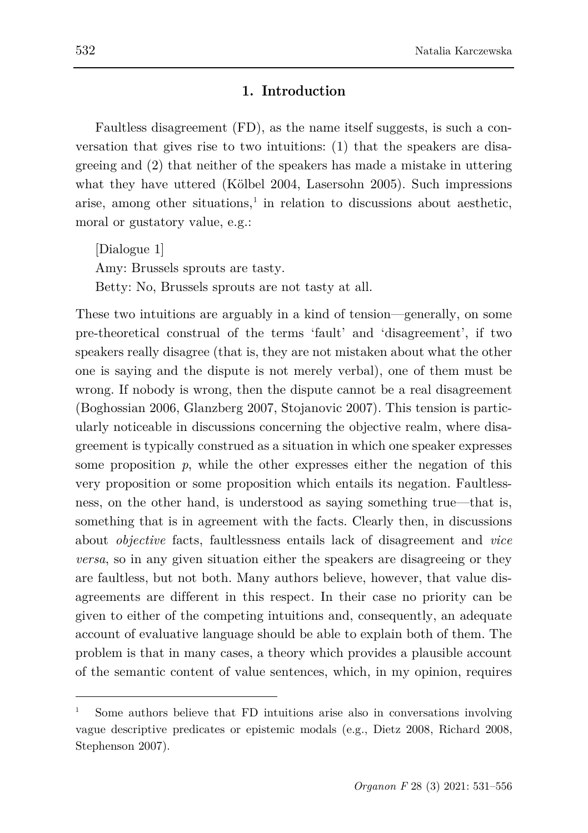#### **1. Introduction**

Faultless disagreement (FD), as the name itself suggests, is such a conversation that gives rise to two intuitions: (1) that the speakers are disagreeing and (2) that neither of the speakers has made a mistake in uttering what they have uttered (Kölbel 2004, Lasersohn 2005). Such impressions arise, among other situations, $\frac{1}{1}$  $\frac{1}{1}$  $\frac{1}{1}$  in relation to discussions about aesthetic, moral or gustatory value, e.g.:

[Dialogue 1] Amy: Brussels sprouts are tasty. Betty: No, Brussels sprouts are not tasty at all.

These two intuitions are arguably in a kind of tension—generally, on some pre-theoretical construal of the terms 'fault' and 'disagreement', if two speakers really disagree (that is, they are not mistaken about what the other one is saying and the dispute is not merely verbal), one of them must be wrong. If nobody is wrong, then the dispute cannot be a real disagreement (Boghossian 2006, Glanzberg 2007, Stojanovic 2007). This tension is particularly noticeable in discussions concerning the objective realm, where disagreement is typically construed as a situation in which one speaker expresses some proposition  $p$ , while the other expresses either the negation of this very proposition or some proposition which entails its negation. Faultlessness, on the other hand, is understood as saying something true—that is, something that is in agreement with the facts. Clearly then, in discussions about *objective* facts, faultlessness entails lack of disagreement and *vice versa*, so in any given situation either the speakers are disagreeing or they are faultless, but not both. Many authors believe, however, that value disagreements are different in this respect. In their case no priority can be given to either of the competing intuitions and, consequently, an adequate account of evaluative language should be able to explain both of them. The problem is that in many cases, a theory which provides a plausible account of the semantic content of value sentences, which, in my opinion, requires

<span id="page-1-0"></span>Some authors believe that FD intuitions arise also in conversations involving vague descriptive predicates or epistemic modals (e.g., Dietz 2008, Richard 2008, Stephenson 2007).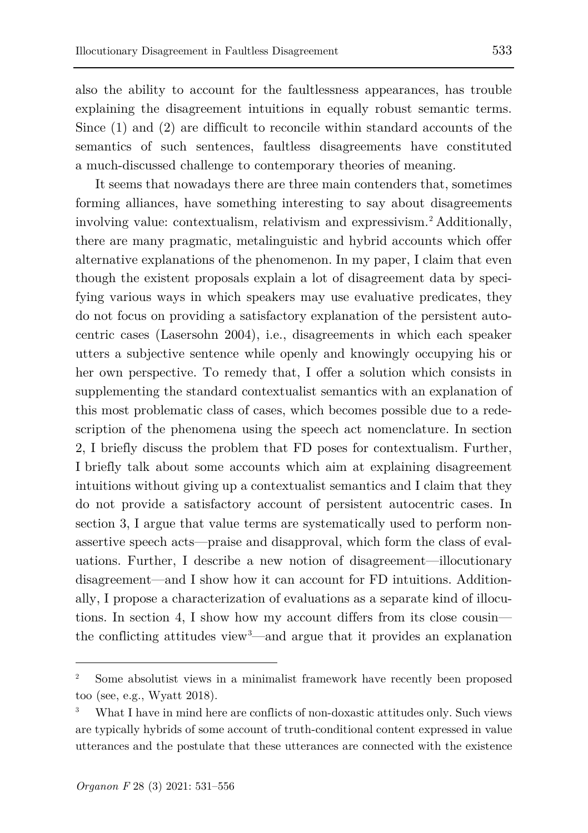also the ability to account for the faultlessness appearances, has trouble explaining the disagreement intuitions in equally robust semantic terms. Since (1) and (2) are difficult to reconcile within standard accounts of the semantics of such sentences, faultless disagreements have constituted a much-discussed challenge to contemporary theories of meaning.

It seems that nowadays there are three main contenders that, sometimes forming alliances, have something interesting to say about disagreements involving value: contextualism, relativism and expressivism[.2](#page-2-0) Additionally, there are many pragmatic, metalinguistic and hybrid accounts which offer alternative explanations of the phenomenon. In my paper, I claim that even though the existent proposals explain a lot of disagreement data by specifying various ways in which speakers may use evaluative predicates, they do not focus on providing a satisfactory explanation of the persistent autocentric cases (Lasersohn 2004), i.e., disagreements in which each speaker utters a subjective sentence while openly and knowingly occupying his or her own perspective. To remedy that, I offer a solution which consists in supplementing the standard contextualist semantics with an explanation of this most problematic class of cases, which becomes possible due to a redescription of the phenomena using the speech act nomenclature. In section 2, I briefly discuss the problem that FD poses for contextualism. Further, I briefly talk about some accounts which aim at explaining disagreement intuitions without giving up a contextualist semantics and I claim that they do not provide a satisfactory account of persistent autocentric cases. In section 3, I argue that value terms are systematically used to perform nonassertive speech acts—praise and disapproval, which form the class of evaluations. Further, I describe a new notion of disagreement—illocutionary disagreement—and I show how it can account for FD intuitions. Additionally, I propose a characterization of evaluations as a separate kind of illocutions. In section 4, I show how my account differs from its close cousin the conflicting attitudes view[3](#page-2-1) —and argue that it provides an explanation

<span id="page-2-0"></span><sup>2</sup> Some absolutist views in a minimalist framework have recently been proposed too (see, e.g., Wyatt 2018).

<span id="page-2-1"></span><sup>3</sup> What I have in mind here are conflicts of non-doxastic attitudes only. Such views are typically hybrids of some account of truth-conditional content expressed in value utterances and the postulate that these utterances are connected with the existence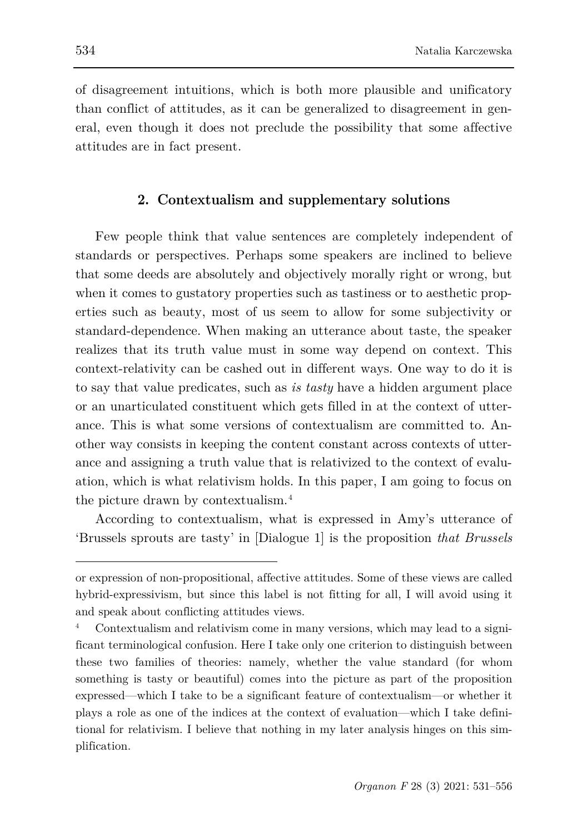of disagreement intuitions, which is both more plausible and unificatory than conflict of attitudes, as it can be generalized to disagreement in general, even though it does not preclude the possibility that some affective attitudes are in fact present.

### **2. Contextualism and supplementary solutions**

Few people think that value sentences are completely independent of standards or perspectives. Perhaps some speakers are inclined to believe that some deeds are absolutely and objectively morally right or wrong, but when it comes to gustatory properties such as tastiness or to aesthetic properties such as beauty, most of us seem to allow for some subjectivity or standard-dependence. When making an utterance about taste, the speaker realizes that its truth value must in some way depend on context. This context-relativity can be cashed out in different ways. One way to do it is to say that value predicates, such as *is tasty* have a hidden argument place or an unarticulated constituent which gets filled in at the context of utterance. This is what some versions of contextualism are committed to. Another way consists in keeping the content constant across contexts of utterance and assigning a truth value that is relativized to the context of evaluation, which is what relativism holds. In this paper, I am going to focus on the picture drawn by contextualism.[4](#page-3-0)

According to contextualism, what is expressed in Amy's utterance of 'Brussels sprouts are tasty' in [Dialogue 1] is the proposition *that Brussels* 

or expression of non-propositional, affective attitudes. Some of these views are called hybrid-expressivism, but since this label is not fitting for all, I will avoid using it and speak about conflicting attitudes views.

<span id="page-3-0"></span>Contextualism and relativism come in many versions, which may lead to a significant terminological confusion. Here I take only one criterion to distinguish between these two families of theories: namely, whether the value standard (for whom something is tasty or beautiful) comes into the picture as part of the proposition expressed—which I take to be a significant feature of contextualism—or whether it plays a role as one of the indices at the context of evaluation—which I take definitional for relativism. I believe that nothing in my later analysis hinges on this simplification.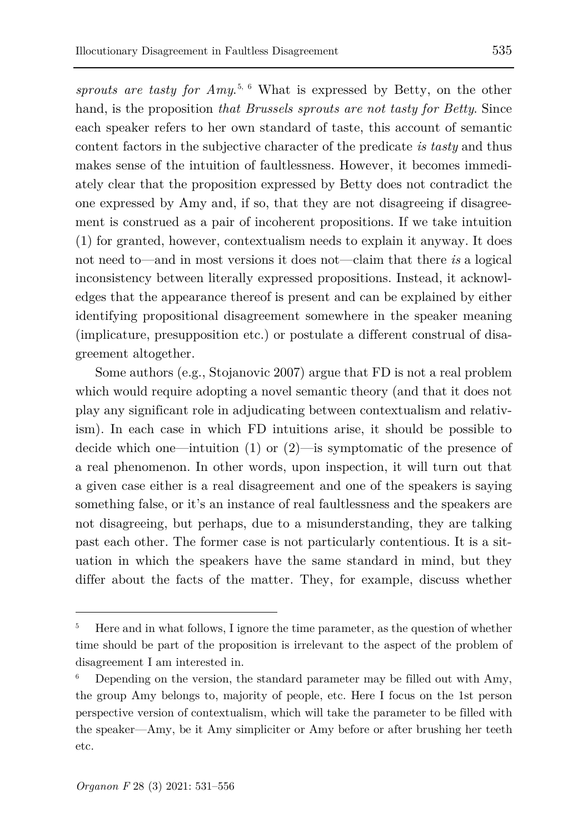*sprouts are tasty for Amy*. [5](#page-4-0), [6](#page-4-1) What is expressed by Betty, on the other hand, is the proposition *that Brussels sprouts are not tasty for Betty*. Since each speaker refers to her own standard of taste, this account of semantic content factors in the subjective character of the predicate *is tasty* and thus makes sense of the intuition of faultlessness. However, it becomes immediately clear that the proposition expressed by Betty does not contradict the one expressed by Amy and, if so, that they are not disagreeing if disagreement is construed as a pair of incoherent propositions. If we take intuition (1) for granted, however, contextualism needs to explain it anyway. It does not need to—and in most versions it does not—claim that there *is* a logical inconsistency between literally expressed propositions. Instead, it acknowledges that the appearance thereof is present and can be explained by either identifying propositional disagreement somewhere in the speaker meaning (implicature, presupposition etc.) or postulate a different construal of disagreement altogether.

Some authors (e.g., Stojanovic 2007) argue that FD is not a real problem which would require adopting a novel semantic theory (and that it does not play any significant role in adjudicating between contextualism and relativism). In each case in which FD intuitions arise, it should be possible to decide which one—intuition  $(1)$  or  $(2)$ —is symptomatic of the presence of a real phenomenon. In other words, upon inspection, it will turn out that a given case either is a real disagreement and one of the speakers is saying something false, or it's an instance of real faultlessness and the speakers are not disagreeing, but perhaps, due to a misunderstanding, they are talking past each other. The former case is not particularly contentious. It is a situation in which the speakers have the same standard in mind, but they differ about the facts of the matter. They, for example, discuss whether

<span id="page-4-0"></span><sup>5</sup> Here and in what follows, I ignore the time parameter, as the question of whether time should be part of the proposition is irrelevant to the aspect of the problem of disagreement I am interested in.

<span id="page-4-1"></span><sup>6</sup> Depending on the version, the standard parameter may be filled out with Amy, the group Amy belongs to, majority of people, etc. Here I focus on the 1st person perspective version of contextualism, which will take the parameter to be filled with the speaker—Amy, be it Amy simpliciter or Amy before or after brushing her teeth etc.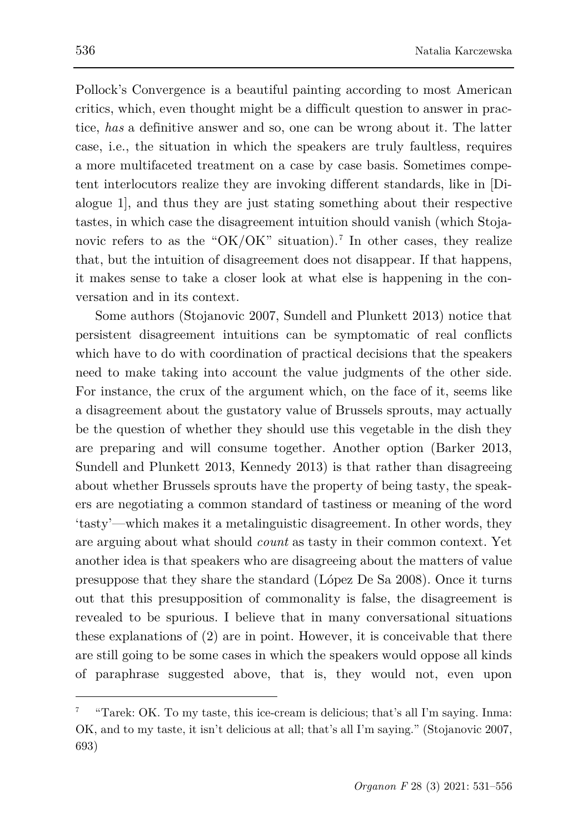Pollock's Convergence is a beautiful painting according to most American critics, which, even thought might be a difficult question to answer in practice, *has* a definitive answer and so, one can be wrong about it. The latter case, i.e., the situation in which the speakers are truly faultless, requires a more multifaceted treatment on a case by case basis. Sometimes competent interlocutors realize they are invoking different standards, like in [Dialogue 1], and thus they are just stating something about their respective tastes, in which case the disagreement intuition should vanish (which Stoja-novic refers to as the "OK/OK" situation).<sup>[7](#page-5-0)</sup> In other cases, they realize that, but the intuition of disagreement does not disappear. If that happens, it makes sense to take a closer look at what else is happening in the conversation and in its context.

Some authors (Stojanovic 2007, Sundell and Plunkett 2013) notice that persistent disagreement intuitions can be symptomatic of real conflicts which have to do with coordination of practical decisions that the speakers need to make taking into account the value judgments of the other side. For instance, the crux of the argument which, on the face of it, seems like a disagreement about the gustatory value of Brussels sprouts, may actually be the question of whether they should use this vegetable in the dish they are preparing and will consume together. Another option (Barker 2013, Sundell and Plunkett 2013, Kennedy 2013) is that rather than disagreeing about whether Brussels sprouts have the property of being tasty, the speakers are negotiating a common standard of tastiness or meaning of the word 'tasty'—which makes it a metalinguistic disagreement. In other words, they are arguing about what should *count* as tasty in their common context. Yet another idea is that speakers who are disagreeing about the matters of value presuppose that they share the standard (López De Sa 2008). Once it turns out that this presupposition of commonality is false, the disagreement is revealed to be spurious. I believe that in many conversational situations these explanations of (2) are in point. However, it is conceivable that there are still going to be some cases in which the speakers would oppose all kinds of paraphrase suggested above, that is, they would not, even upon

<span id="page-5-0"></span><sup>7</sup> "Tarek: OK. To my taste, this ice-cream is delicious; that's all I'm saying. Inma: OK, and to my taste, it isn't delicious at all; that's all I'm saying." (Stojanovic 2007, 693)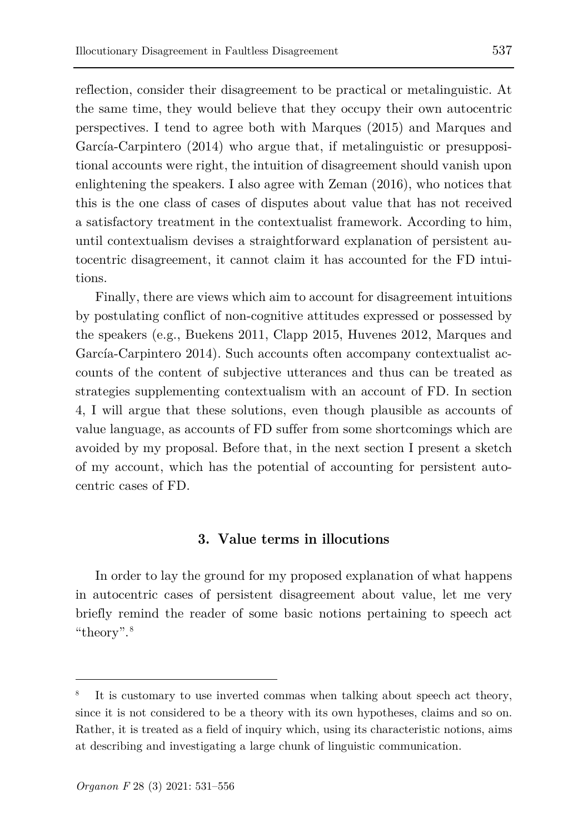reflection, consider their disagreement to be practical or metalinguistic. At the same time, they would believe that they occupy their own autocentric perspectives. I tend to agree both with Marques (2015) and Marques and García-Carpintero (2014) who argue that, if metalinguistic or presuppositional accounts were right, the intuition of disagreement should vanish upon enlightening the speakers. I also agree with Zeman (2016), who notices that this is the one class of cases of disputes about value that has not received a satisfactory treatment in the contextualist framework. According to him, until contextualism devises a straightforward explanation of persistent autocentric disagreement, it cannot claim it has accounted for the FD intuitions.

Finally, there are views which aim to account for disagreement intuitions by postulating conflict of non-cognitive attitudes expressed or possessed by the speakers (e.g., Buekens 2011, Clapp 2015, Huvenes 2012, Marques and García-Carpintero 2014). Such accounts often accompany contextualist accounts of the content of subjective utterances and thus can be treated as strategies supplementing contextualism with an account of FD. In section 4, I will argue that these solutions, even though plausible as accounts of value language, as accounts of FD suffer from some shortcomings which are avoided by my proposal. Before that, in the next section I present a sketch of my account, which has the potential of accounting for persistent autocentric cases of FD.

#### **3. Value terms in illocutions**

In order to lay the ground for my proposed explanation of what happens in autocentric cases of persistent disagreement about value, let me very briefly remind the reader of some basic notions pertaining to speech act "theory".[8](#page-6-0)

<span id="page-6-0"></span>It is customary to use inverted commas when talking about speech act theory, since it is not considered to be a theory with its own hypotheses, claims and so on. Rather, it is treated as a field of inquiry which, using its characteristic notions, aims at describing and investigating a large chunk of linguistic communication.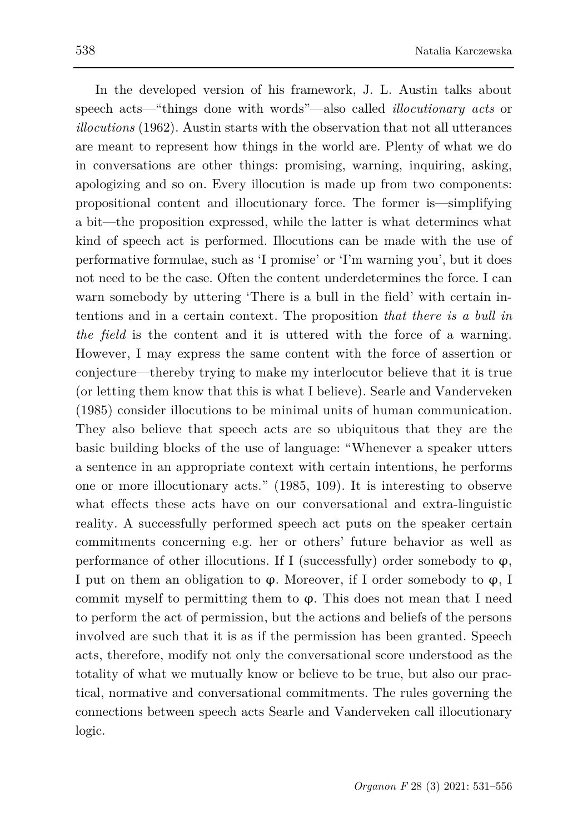In the developed version of his framework, J. L. Austin talks about speech acts—"things done with words"—also called *illocutionary acts* or *illocutions* (1962). Austin starts with the observation that not all utterances are meant to represent how things in the world are. Plenty of what we do in conversations are other things: promising, warning, inquiring, asking, apologizing and so on. Every illocution is made up from two components: propositional content and illocutionary force. The former is—simplifying a bit—the proposition expressed, while the latter is what determines what kind of speech act is performed. Illocutions can be made with the use of performative formulae, such as 'I promise' or 'I'm warning you', but it does not need to be the case. Often the content underdetermines the force. I can warn somebody by uttering 'There is a bull in the field' with certain intentions and in a certain context. The proposition *that there is a bull in the field* is the content and it is uttered with the force of a warning. However, I may express the same content with the force of assertion or conjecture—thereby trying to make my interlocutor believe that it is true (or letting them know that this is what I believe). Searle and Vanderveken (1985) consider illocutions to be minimal units of human communication. They also believe that speech acts are so ubiquitous that they are the basic building blocks of the use of language: "Whenever a speaker utters a sentence in an appropriate context with certain intentions, he performs one or more illocutionary acts." (1985, 109). It is interesting to observe what effects these acts have on our conversational and extra-linguistic reality. A successfully performed speech act puts on the speaker certain commitments concerning e.g. her or others' future behavior as well as performance of other illocutions. If I (successfully) order somebody to  $\varphi$ , I put on them an obligation to  $\varphi$ . Moreover, if I order somebody to  $\varphi$ , I commit myself to permitting them to  $\varphi$ . This does not mean that I need to perform the act of permission, but the actions and beliefs of the persons involved are such that it is as if the permission has been granted. Speech acts, therefore, modify not only the conversational score understood as the totality of what we mutually know or believe to be true, but also our practical, normative and conversational commitments. The rules governing the connections between speech acts Searle and Vanderveken call illocutionary logic.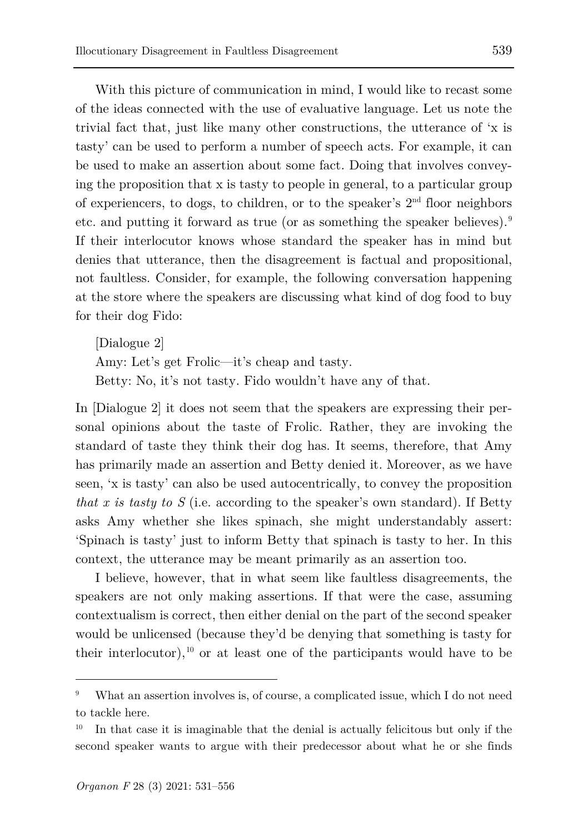With this picture of communication in mind, I would like to recast some of the ideas connected with the use of evaluative language. Let us note the trivial fact that, just like many other constructions, the utterance of 'x is tasty' can be used to perform a number of speech acts. For example, it can be used to make an assertion about some fact. Doing that involves conveying the proposition that x is tasty to people in general, to a particular group of experiencers, to dogs, to children, or to the speaker's  $2<sup>nd</sup>$  floor neighbors etc. and putting it forward as true (or as something the speaker believes).<sup>[9](#page-8-0)</sup> If their interlocutor knows whose standard the speaker has in mind but denies that utterance, then the disagreement is factual and propositional, not faultless. Consider, for example, the following conversation happening at the store where the speakers are discussing what kind of dog food to buy for their dog Fido:

[Dialogue 2] Amy: Let's get Frolic—it's cheap and tasty. Betty: No, it's not tasty. Fido wouldn't have any of that.

In [Dialogue 2] it does not seem that the speakers are expressing their personal opinions about the taste of Frolic. Rather, they are invoking the standard of taste they think their dog has. It seems, therefore, that Amy has primarily made an assertion and Betty denied it. Moreover, as we have seen, 'x is tasty' can also be used autocentrically, to convey the proposition *that x is tasty to S* (i.e. according to the speaker's own standard). If Betty asks Amy whether she likes spinach, she might understandably assert: 'Spinach is tasty' just to inform Betty that spinach is tasty to her. In this context, the utterance may be meant primarily as an assertion too.

I believe, however, that in what seem like faultless disagreements, the speakers are not only making assertions. If that were the case, assuming contextualism is correct, then either denial on the part of the second speaker would be unlicensed (because they'd be denying that something is tasty for their interlocutor), $10$  or at least one of the participants would have to be

<span id="page-8-0"></span>What an assertion involves is, of course, a complicated issue, which I do not need to tackle here.

<span id="page-8-1"></span><sup>10</sup> In that case it is imaginable that the denial is actually felicitous but only if the second speaker wants to argue with their predecessor about what he or she finds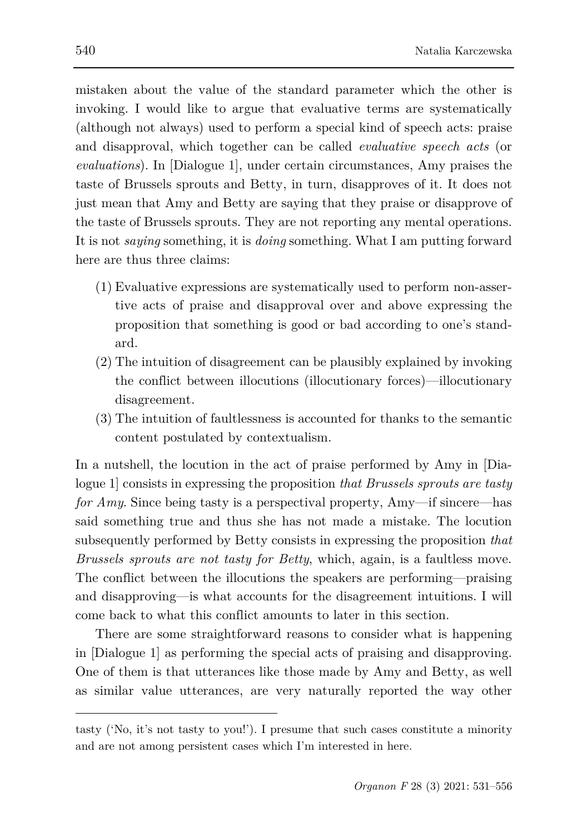mistaken about the value of the standard parameter which the other is invoking. I would like to argue that evaluative terms are systematically (although not always) used to perform a special kind of speech acts: praise and disapproval, which together can be called *evaluative speech acts* (or *evaluations*). In [Dialogue 1], under certain circumstances, Amy praises the taste of Brussels sprouts and Betty, in turn, disapproves of it. It does not just mean that Amy and Betty are saying that they praise or disapprove of the taste of Brussels sprouts. They are not reporting any mental operations. It is not *saying* something, it is *doing* something. What I am putting forward here are thus three claims:

- (1) Evaluative expressions are systematically used to perform non-assertive acts of praise and disapproval over and above expressing the proposition that something is good or bad according to one's standard.
- (2) The intuition of disagreement can be plausibly explained by invoking the conflict between illocutions (illocutionary forces)—illocutionary disagreement.
- (3) The intuition of faultlessness is accounted for thanks to the semantic content postulated by contextualism.

In a nutshell, the locution in the act of praise performed by Amy in [Dialogue 1] consists in expressing the proposition *that Brussels sprouts are tasty for Amy*. Since being tasty is a perspectival property, Amy—if sincere—has said something true and thus she has not made a mistake. The locution subsequently performed by Betty consists in expressing the proposition *that Brussels sprouts are not tasty for Betty*, which, again, is a faultless move. The conflict between the illocutions the speakers are performing—praising and disapproving—is what accounts for the disagreement intuitions. I will come back to what this conflict amounts to later in this section.

There are some straightforward reasons to consider what is happening in [Dialogue 1] as performing the special acts of praising and disapproving. One of them is that utterances like those made by Amy and Betty, as well as similar value utterances, are very naturally reported the way other

tasty ('No, it's not tasty to you!'). I presume that such cases constitute a minority and are not among persistent cases which I'm interested in here.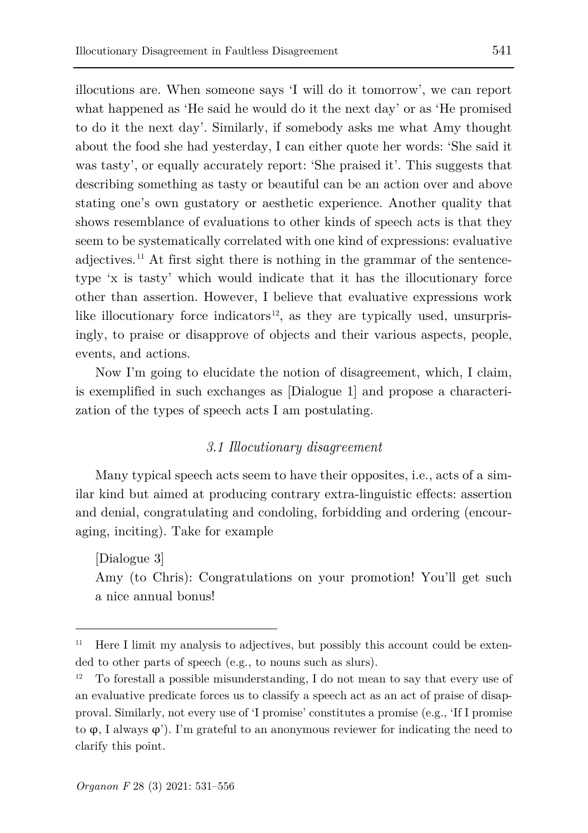illocutions are. When someone says 'I will do it tomorrow', we can report what happened as 'He said he would do it the next day' or as 'He promised to do it the next day'. Similarly, if somebody asks me what Amy thought about the food she had yesterday, I can either quote her words: 'She said it was tasty', or equally accurately report: 'She praised it'. This suggests that describing something as tasty or beautiful can be an action over and above stating one's own gustatory or aesthetic experience. Another quality that shows resemblance of evaluations to other kinds of speech acts is that they seem to be systematically correlated with one kind of expressions: evaluative adjectives.<sup>[11](#page-10-0)</sup> At first sight there is nothing in the grammar of the sentencetype 'x is tasty' which would indicate that it has the illocutionary force other than assertion. However, I believe that evaluative expressions work like illocutionary force indicators<sup>12</sup>, as they are typically used, unsurprisingly, to praise or disapprove of objects and their various aspects, people, events, and actions.

Now I'm going to elucidate the notion of disagreement, which, I claim, is exemplified in such exchanges as [Dialogue 1] and propose a characterization of the types of speech acts I am postulating.

## *3.1 Illocutionary disagreement*

Many typical speech acts seem to have their opposites, i.e., acts of a similar kind but aimed at producing contrary extra-linguistic effects: assertion and denial, congratulating and condoling, forbidding and ordering (encouraging, inciting). Take for example

[Dialogue 3] Amy (to Chris): Congratulations on your promotion! You'll get such a nice annual bonus!

<span id="page-10-0"></span><sup>11</sup> Here I limit my analysis to adjectives, but possibly this account could be extended to other parts of speech (e.g., to nouns such as slurs).

<span id="page-10-1"></span><sup>12</sup> To forestall a possible misunderstanding, I do not mean to say that every use of an evaluative predicate forces us to classify a speech act as an act of praise of disapproval. Similarly, not every use of 'I promise' constitutes a promise (e.g., 'If I promise to φ, I always φ'). I'm grateful to an anonymous reviewer for indicating the need to clarify this point.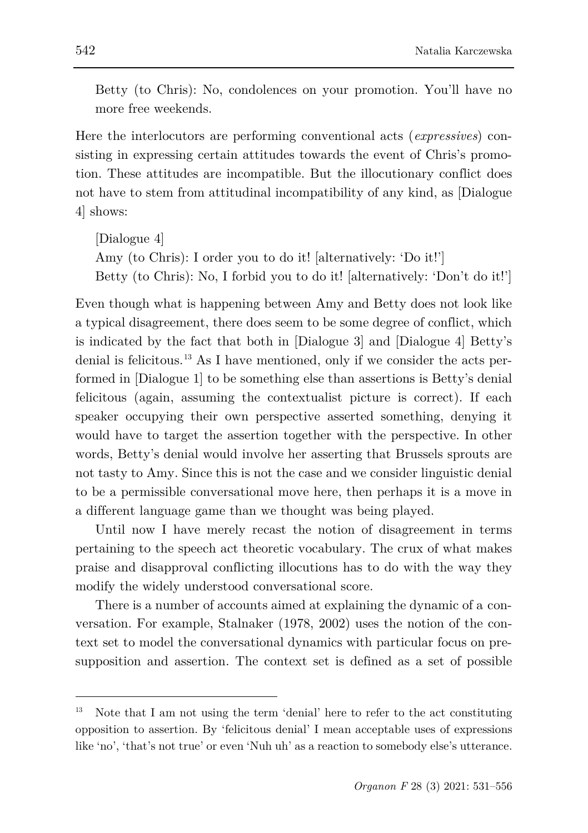Betty (to Chris): No, condolences on your promotion. You'll have no more free weekends.

Here the interlocutors are performing conventional acts (*expressives*) consisting in expressing certain attitudes towards the event of Chris's promotion. These attitudes are incompatible. But the illocutionary conflict does not have to stem from attitudinal incompatibility of any kind, as [Dialogue 4] shows:

[Dialogue 4] Amy (to Chris): I order you to do it! [alternatively: 'Do it!'] Betty (to Chris): No, I forbid you to do it! [alternatively: 'Don't do it!']

Even though what is happening between Amy and Betty does not look like a typical disagreement, there does seem to be some degree of conflict, which is indicated by the fact that both in [Dialogue 3] and [Dialogue 4] Betty's denial is felicitous.<sup>[13](#page-11-0)</sup> As I have mentioned, only if we consider the acts performed in [Dialogue 1] to be something else than assertions is Betty's denial felicitous (again, assuming the contextualist picture is correct). If each speaker occupying their own perspective asserted something, denying it would have to target the assertion together with the perspective. In other words, Betty's denial would involve her asserting that Brussels sprouts are not tasty to Amy. Since this is not the case and we consider linguistic denial to be a permissible conversational move here, then perhaps it is a move in a different language game than we thought was being played.

Until now I have merely recast the notion of disagreement in terms pertaining to the speech act theoretic vocabulary. The crux of what makes praise and disapproval conflicting illocutions has to do with the way they modify the widely understood conversational score.

There is a number of accounts aimed at explaining the dynamic of a conversation. For example, Stalnaker (1978, 2002) uses the notion of the context set to model the conversational dynamics with particular focus on presupposition and assertion. The context set is defined as a set of possible

<span id="page-11-0"></span>Note that I am not using the term 'denial' here to refer to the act constituting opposition to assertion. By 'felicitous denial' I mean acceptable uses of expressions like 'no', 'that's not true' or even 'Nuh uh' as a reaction to somebody else's utterance.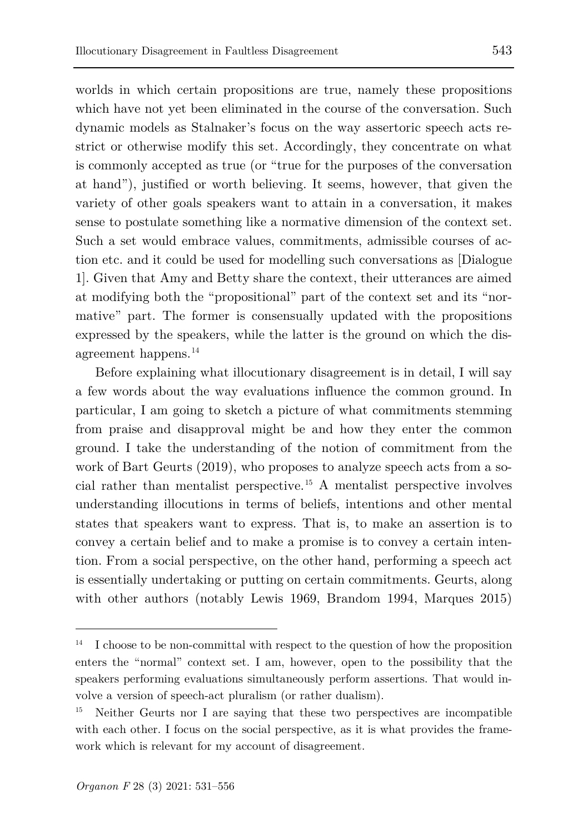worlds in which certain propositions are true, namely these propositions which have not yet been eliminated in the course of the conversation. Such dynamic models as Stalnaker's focus on the way assertoric speech acts restrict or otherwise modify this set. Accordingly, they concentrate on what is commonly accepted as true (or "true for the purposes of the conversation at hand"), justified or worth believing. It seems, however, that given the variety of other goals speakers want to attain in a conversation, it makes sense to postulate something like a normative dimension of the context set. Such a set would embrace values, commitments, admissible courses of action etc. and it could be used for modelling such conversations as [Dialogue 1]. Given that Amy and Betty share the context, their utterances are aimed at modifying both the "propositional" part of the context set and its "normative" part. The former is consensually updated with the propositions expressed by the speakers, while the latter is the ground on which the disagreement happens.[14](#page-12-0)

Before explaining what illocutionary disagreement is in detail, I will say a few words about the way evaluations influence the common ground. In particular, I am going to sketch a picture of what commitments stemming from praise and disapproval might be and how they enter the common ground. I take the understanding of the notion of commitment from the work of Bart Geurts (2019), who proposes to analyze speech acts from a social rather than mentalist perspective.[15](#page-12-1) A mentalist perspective involves understanding illocutions in terms of beliefs, intentions and other mental states that speakers want to express. That is, to make an assertion is to convey a certain belief and to make a promise is to convey a certain intention. From a social perspective, on the other hand, performing a speech act is essentially undertaking or putting on certain commitments. Geurts, along with other authors (notably Lewis 1969, Brandom 1994, Marques 2015)

<span id="page-12-0"></span>I choose to be non-committal with respect to the question of how the proposition enters the "normal" context set. I am, however, open to the possibility that the speakers performing evaluations simultaneously perform assertions. That would involve a version of speech-act pluralism (or rather dualism).

<span id="page-12-1"></span>Neither Geurts nor I are saying that these two perspectives are incompatible with each other. I focus on the social perspective, as it is what provides the framework which is relevant for my account of disagreement.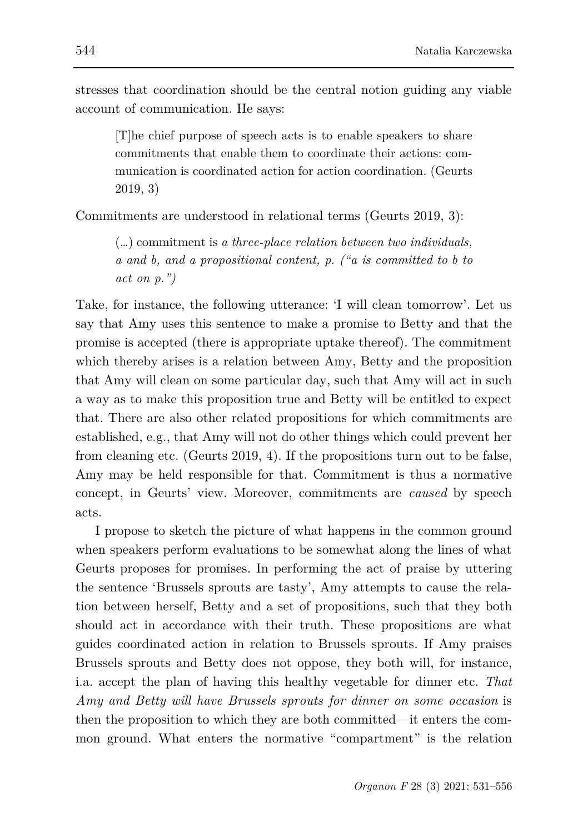stresses that coordination should be the central notion guiding any viable account of communication. He says:

[T]he chief purpose of speech acts is to enable speakers to share commitments that enable them to coordinate their actions: communication is coordinated action for action coordination. (Geurts 2019, 3)

Commitments are understood in relational terms (Geurts 2019, 3):

(…) commitment is *a three-place relation between two individuals, a and b, and a propositional content, p. ("a is committed to b to act on p.")*

Take, for instance, the following utterance: 'I will clean tomorrow'. Let us say that Amy uses this sentence to make a promise to Betty and that the promise is accepted (there is appropriate uptake thereof). The commitment which thereby arises is a relation between Amy, Betty and the proposition that Amy will clean on some particular day, such that Amy will act in such a way as to make this proposition true and Betty will be entitled to expect that. There are also other related propositions for which commitments are established, e.g., that Amy will not do other things which could prevent her from cleaning etc. (Geurts 2019, 4). If the propositions turn out to be false, Amy may be held responsible for that. Commitment is thus a normative concept, in Geurts' view. Moreover, commitments are *caused* by speech acts.

I propose to sketch the picture of what happens in the common ground when speakers perform evaluations to be somewhat along the lines of what Geurts proposes for promises. In performing the act of praise by uttering the sentence 'Brussels sprouts are tasty', Amy attempts to cause the relation between herself, Betty and a set of propositions, such that they both should act in accordance with their truth. These propositions are what guides coordinated action in relation to Brussels sprouts. If Amy praises Brussels sprouts and Betty does not oppose, they both will, for instance, i.a. accept the plan of having this healthy vegetable for dinner etc. *That Amy and Betty will have Brussels sprouts for dinner on some occasion* is then the proposition to which they are both committed—it enters the common ground. What enters the normative "compartment" is the relation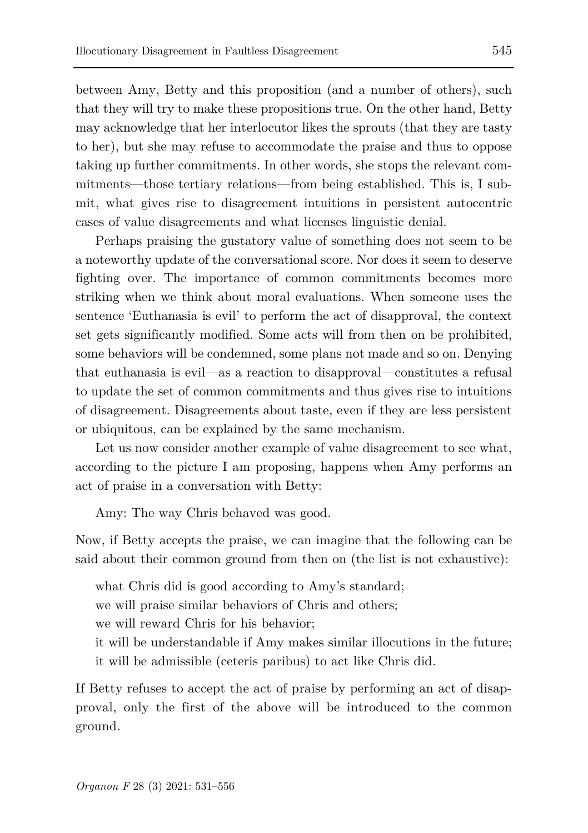between Amy, Betty and this proposition (and a number of others), such that they will try to make these propositions true. On the other hand, Betty may acknowledge that her interlocutor likes the sprouts (that they are tasty to her), but she may refuse to accommodate the praise and thus to oppose taking up further commitments. In other words, she stops the relevant commitments—those tertiary relations—from being established. This is, I submit, what gives rise to disagreement intuitions in persistent autocentric cases of value disagreements and what licenses linguistic denial.

Perhaps praising the gustatory value of something does not seem to be a noteworthy update of the conversational score. Nor does it seem to deserve fighting over. The importance of common commitments becomes more striking when we think about moral evaluations. When someone uses the sentence 'Euthanasia is evil' to perform the act of disapproval, the context set gets significantly modified. Some acts will from then on be prohibited, some behaviors will be condemned, some plans not made and so on. Denying that euthanasia is evil—as a reaction to disapproval—constitutes a refusal to update the set of common commitments and thus gives rise to intuitions of disagreement. Disagreements about taste, even if they are less persistent or ubiquitous, can be explained by the same mechanism.

Let us now consider another example of value disagreement to see what, according to the picture I am proposing, happens when Amy performs an act of praise in a conversation with Betty:

Amy: The way Chris behaved was good.

Now, if Betty accepts the praise, we can imagine that the following can be said about their common ground from then on (the list is not exhaustive):

what Chris did is good according to Amy's standard;

we will praise similar behaviors of Chris and others;

we will reward Chris for his behavior;

it will be understandable if Amy makes similar illocutions in the future; it will be admissible (ceteris paribus) to act like Chris did.

If Betty refuses to accept the act of praise by performing an act of disapproval, only the first of the above will be introduced to the common ground.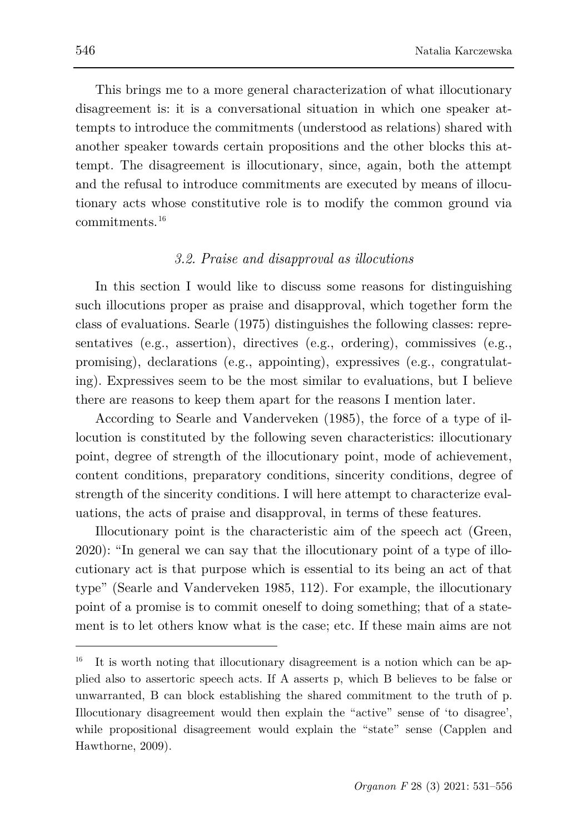This brings me to a more general characterization of what illocutionary disagreement is: it is a conversational situation in which one speaker attempts to introduce the commitments (understood as relations) shared with another speaker towards certain propositions and the other blocks this attempt. The disagreement is illocutionary, since, again, both the attempt and the refusal to introduce commitments are executed by means of illocutionary acts whose constitutive role is to modify the common ground via commitments.[16](#page-15-0)

## *3.2. Praise and disapproval as illocutions*

In this section I would like to discuss some reasons for distinguishing such illocutions proper as praise and disapproval, which together form the class of evaluations. Searle (1975) distinguishes the following classes: representatives (e.g., assertion), directives (e.g., ordering), commissives (e.g., promising), declarations (e.g., appointing), expressives (e.g., congratulating). Expressives seem to be the most similar to evaluations, but I believe there are reasons to keep them apart for the reasons I mention later.

According to Searle and Vanderveken (1985), the force of a type of illocution is constituted by the following seven characteristics: illocutionary point, degree of strength of the illocutionary point, mode of achievement, content conditions, preparatory conditions, sincerity conditions, degree of strength of the sincerity conditions. I will here attempt to characterize evaluations, the acts of praise and disapproval, in terms of these features.

Illocutionary point is the characteristic aim of the speech act (Green, 2020): "In general we can say that the illocutionary point of a type of illocutionary act is that purpose which is essential to its being an act of that type" (Searle and Vanderveken 1985, 112). For example, the illocutionary point of a promise is to commit oneself to doing something; that of a statement is to let others know what is the case; etc. If these main aims are not

<span id="page-15-0"></span><sup>16</sup> It is worth noting that illocutionary disagreement is a notion which can be applied also to assertoric speech acts. If A asserts p, which B believes to be false or unwarranted, B can block establishing the shared commitment to the truth of p. Illocutionary disagreement would then explain the "active" sense of 'to disagree', while propositional disagreement would explain the "state" sense (Capplen and Hawthorne, 2009).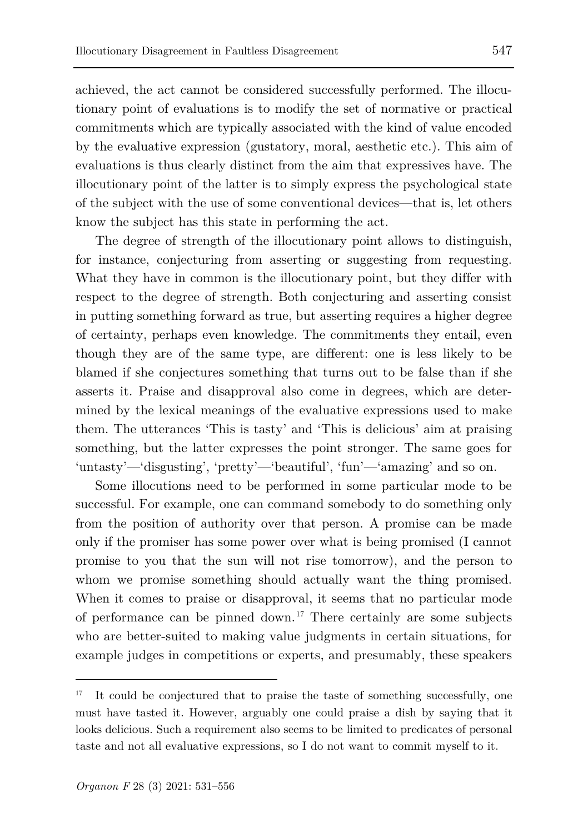know the subject has this state in performing the act.

achieved, the act cannot be considered successfully performed. The illocutionary point of evaluations is to modify the set of normative or practical commitments which are typically associated with the kind of value encoded by the evaluative expression (gustatory, moral, aesthetic etc.). This aim of evaluations is thus clearly distinct from the aim that expressives have. The illocutionary point of the latter is to simply express the psychological state of the subject with the use of some conventional devices—that is, let others

The degree of strength of the illocutionary point allows to distinguish, for instance, conjecturing from asserting or suggesting from requesting. What they have in common is the illocutionary point, but they differ with respect to the degree of strength. Both conjecturing and asserting consist in putting something forward as true, but asserting requires a higher degree of certainty, perhaps even knowledge. The commitments they entail, even though they are of the same type, are different: one is less likely to be blamed if she conjectures something that turns out to be false than if she asserts it. Praise and disapproval also come in degrees, which are determined by the lexical meanings of the evaluative expressions used to make them. The utterances 'This is tasty' and 'This is delicious' aim at praising something, but the latter expresses the point stronger. The same goes for 'untasty'—'disgusting', 'pretty'—'beautiful', 'fun'—'amazing' and so on.

Some illocutions need to be performed in some particular mode to be successful. For example, one can command somebody to do something only from the position of authority over that person. A promise can be made only if the promiser has some power over what is being promised (I cannot promise to you that the sun will not rise tomorrow), and the person to whom we promise something should actually want the thing promised. When it comes to praise or disapproval, it seems that no particular mode of performance can be pinned down.<sup>[17](#page-16-0)</sup> There certainly are some subjects who are better-suited to making value judgments in certain situations, for example judges in competitions or experts, and presumably, these speakers

<span id="page-16-0"></span><sup>17</sup> It could be conjectured that to praise the taste of something successfully, one must have tasted it. However, arguably one could praise a dish by saying that it looks delicious. Such a requirement also seems to be limited to predicates of personal taste and not all evaluative expressions, so I do not want to commit myself to it.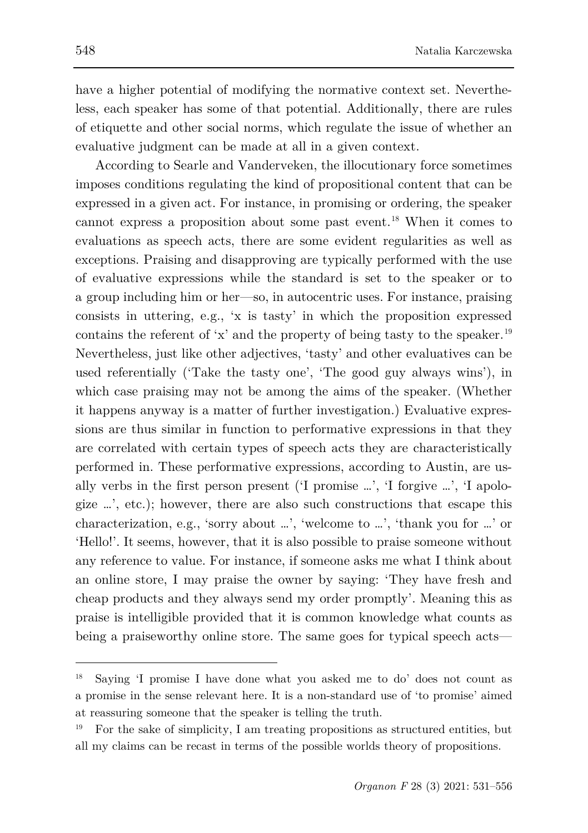have a higher potential of modifying the normative context set. Nevertheless, each speaker has some of that potential. Additionally, there are rules of etiquette and other social norms, which regulate the issue of whether an evaluative judgment can be made at all in a given context.

According to Searle and Vanderveken, the illocutionary force sometimes imposes conditions regulating the kind of propositional content that can be expressed in a given act. For instance, in promising or ordering, the speaker cannot express a proposition about some past event.[18](#page-17-0) When it comes to evaluations as speech acts, there are some evident regularities as well as exceptions. Praising and disapproving are typically performed with the use of evaluative expressions while the standard is set to the speaker or to a group including him or her—so, in autocentric uses. For instance, praising consists in uttering, e.g., 'x is tasty' in which the proposition expressed contains the referent of 'x' and the property of being tasty to the speaker.<sup>[19](#page-17-1)</sup> Nevertheless, just like other adjectives, 'tasty' and other evaluatives can be used referentially ('Take the tasty one', 'The good guy always wins'), in which case praising may not be among the aims of the speaker. (Whether it happens anyway is a matter of further investigation.) Evaluative expressions are thus similar in function to performative expressions in that they are correlated with certain types of speech acts they are characteristically performed in. These performative expressions, according to Austin, are usally verbs in the first person present ('I promise …', 'I forgive …', 'I apologize …', etc.); however, there are also such constructions that escape this characterization, e.g., 'sorry about …', 'welcome to …', 'thank you for …' or 'Hello!'. It seems, however, that it is also possible to praise someone without any reference to value. For instance, if someone asks me what I think about an online store, I may praise the owner by saying: 'They have fresh and cheap products and they always send my order promptly'. Meaning this as praise is intelligible provided that it is common knowledge what counts as being a praiseworthy online store. The same goes for typical speech acts—

<span id="page-17-0"></span><sup>18</sup> Saying 'I promise I have done what you asked me to do' does not count as a promise in the sense relevant here. It is a non-standard use of 'to promise' aimed at reassuring someone that the speaker is telling the truth.

<span id="page-17-1"></span><sup>19</sup> For the sake of simplicity, I am treating propositions as structured entities, but all my claims can be recast in terms of the possible worlds theory of propositions.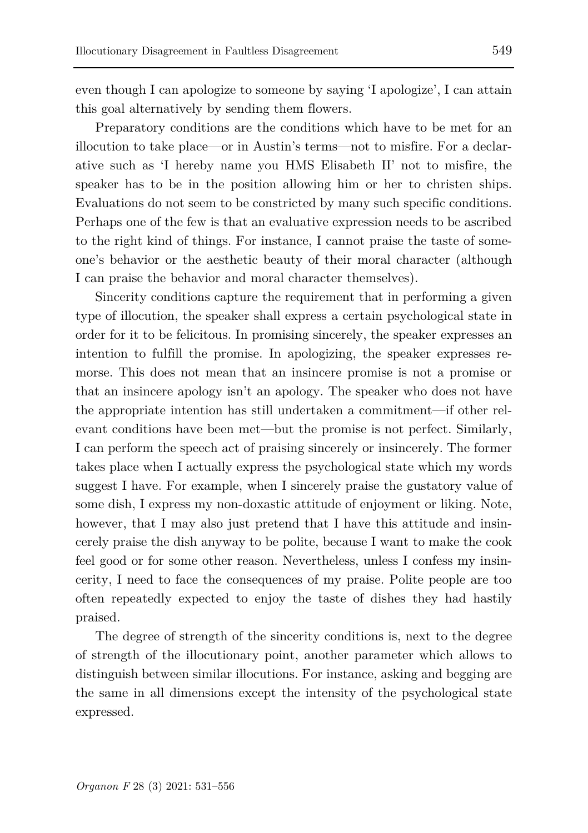even though I can apologize to someone by saying 'I apologize', I can attain this goal alternatively by sending them flowers.

Preparatory conditions are the conditions which have to be met for an illocution to take place—or in Austin's terms—not to misfire. For a declarative such as 'I hereby name you HMS Elisabeth II' not to misfire, the speaker has to be in the position allowing him or her to christen ships. Evaluations do not seem to be constricted by many such specific conditions. Perhaps one of the few is that an evaluative expression needs to be ascribed to the right kind of things. For instance, I cannot praise the taste of someone's behavior or the aesthetic beauty of their moral character (although I can praise the behavior and moral character themselves).

Sincerity conditions capture the requirement that in performing a given type of illocution, the speaker shall express a certain psychological state in order for it to be felicitous. In promising sincerely, the speaker expresses an intention to fulfill the promise. In apologizing, the speaker expresses remorse. This does not mean that an insincere promise is not a promise or that an insincere apology isn't an apology. The speaker who does not have the appropriate intention has still undertaken a commitment—if other relevant conditions have been met—but the promise is not perfect. Similarly, I can perform the speech act of praising sincerely or insincerely. The former takes place when I actually express the psychological state which my words suggest I have. For example, when I sincerely praise the gustatory value of some dish, I express my non-doxastic attitude of enjoyment or liking. Note, however, that I may also just pretend that I have this attitude and insincerely praise the dish anyway to be polite, because I want to make the cook feel good or for some other reason. Nevertheless, unless I confess my insincerity, I need to face the consequences of my praise. Polite people are too often repeatedly expected to enjoy the taste of dishes they had hastily praised.

The degree of strength of the sincerity conditions is, next to the degree of strength of the illocutionary point, another parameter which allows to distinguish between similar illocutions. For instance, asking and begging are the same in all dimensions except the intensity of the psychological state expressed.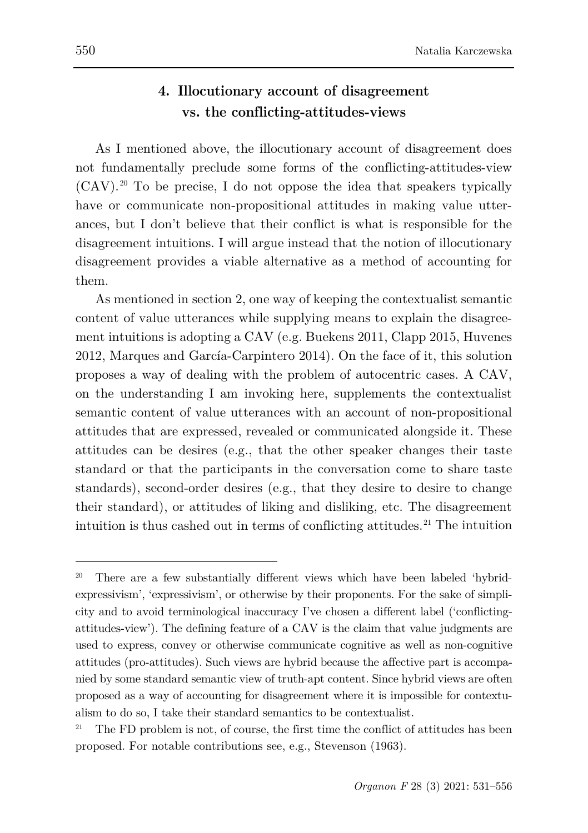## **4. Illocutionary account of disagreement vs. the conflicting-attitudes-views**

As I mentioned above, the illocutionary account of disagreement does not fundamentally preclude some forms of the conflicting-attitudes-view  $(CAV).^{20}$  $(CAV).^{20}$  $(CAV).^{20}$  To be precise, I do not oppose the idea that speakers typically have or communicate non-propositional attitudes in making value utterances, but I don't believe that their conflict is what is responsible for the disagreement intuitions. I will argue instead that the notion of illocutionary disagreement provides a viable alternative as a method of accounting for them.

As mentioned in section 2, one way of keeping the contextualist semantic content of value utterances while supplying means to explain the disagreement intuitions is adopting a CAV (e.g. Buekens 2011, Clapp 2015, Huvenes 2012, Marques and García-Carpintero 2014). On the face of it, this solution proposes a way of dealing with the problem of autocentric cases. A CAV, on the understanding I am invoking here, supplements the contextualist semantic content of value utterances with an account of non-propositional attitudes that are expressed, revealed or communicated alongside it. These attitudes can be desires (e.g., that the other speaker changes their taste standard or that the participants in the conversation come to share taste standards), second-order desires (e.g., that they desire to desire to change their standard), or attitudes of liking and disliking, etc. The disagreement intuition is thus cashed out in terms of conflicting attitudes.<sup>[21](#page-19-1)</sup> The intuition

<span id="page-19-0"></span><sup>&</sup>lt;sup>20</sup> There are a few substantially different views which have been labeled 'hybridexpressivism', 'expressivism', or otherwise by their proponents. For the sake of simplicity and to avoid terminological inaccuracy I've chosen a different label ('conflictingattitudes-view'). The defining feature of a CAV is the claim that value judgments are used to express, convey or otherwise communicate cognitive as well as non-cognitive attitudes (pro-attitudes). Such views are hybrid because the affective part is accompanied by some standard semantic view of truth-apt content. Since hybrid views are often proposed as a way of accounting for disagreement where it is impossible for contextualism to do so, I take their standard semantics to be contextualist.

<span id="page-19-1"></span>The FD problem is not, of course, the first time the conflict of attitudes has been proposed. For notable contributions see, e.g., Stevenson (1963).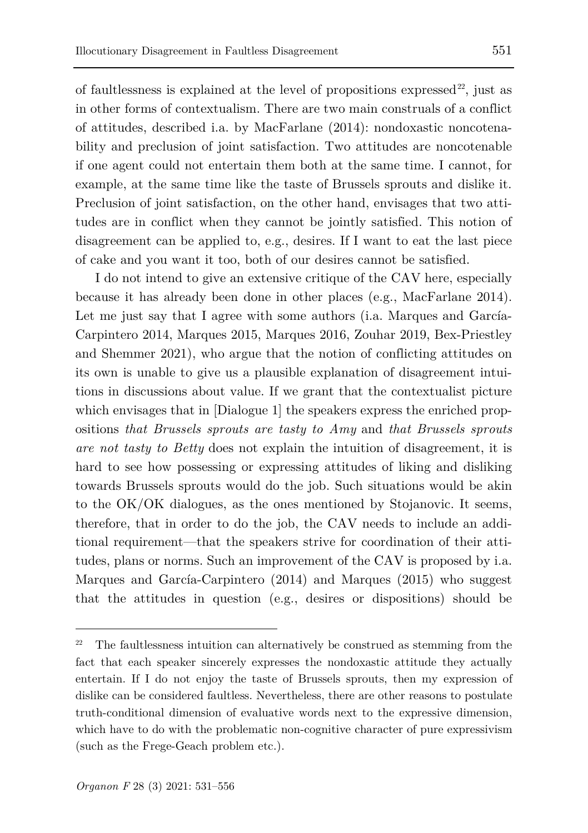of faultlessness is explained at the level of propositions expressed<sup>[22](#page-20-0)</sup>, just as in other forms of contextualism. There are two main construals of a conflict of attitudes, described i.a. by MacFarlane (2014): nondoxastic noncotenability and preclusion of joint satisfaction. Two attitudes are noncotenable if one agent could not entertain them both at the same time. I cannot, for example, at the same time like the taste of Brussels sprouts and dislike it. Preclusion of joint satisfaction, on the other hand, envisages that two attitudes are in conflict when they cannot be jointly satisfied. This notion of disagreement can be applied to, e.g., desires. If I want to eat the last piece of cake and you want it too, both of our desires cannot be satisfied.

I do not intend to give an extensive critique of the CAV here, especially because it has already been done in other places (e.g., MacFarlane 2014). Let me just say that I agree with some authors (i.a. Marques and García-Carpintero 2014, Marques 2015, Marques 2016, Zouhar 2019, Bex-Priestley and Shemmer 2021), who argue that the notion of conflicting attitudes on its own is unable to give us a plausible explanation of disagreement intuitions in discussions about value. If we grant that the contextualist picture which envisages that in [Dialogue 1] the speakers express the enriched propositions *that Brussels sprouts are tasty to Amy* and *that Brussels sprouts are not tasty to Betty* does not explain the intuition of disagreement, it is hard to see how possessing or expressing attitudes of liking and disliking towards Brussels sprouts would do the job. Such situations would be akin to the OK/OK dialogues, as the ones mentioned by Stojanovic. It seems, therefore, that in order to do the job, the CAV needs to include an additional requirement—that the speakers strive for coordination of their attitudes, plans or norms. Such an improvement of the CAV is proposed by i.a. Marques and García-Carpintero (2014) and Marques (2015) who suggest that the attitudes in question (e.g., desires or dispositions) should be

<span id="page-20-0"></span>The faultlessness intuition can alternatively be construed as stemming from the fact that each speaker sincerely expresses the nondoxastic attitude they actually entertain. If I do not enjoy the taste of Brussels sprouts, then my expression of dislike can be considered faultless. Nevertheless, there are other reasons to postulate truth-conditional dimension of evaluative words next to the expressive dimension, which have to do with the problematic non-cognitive character of pure expressivism (such as the Frege-Geach problem etc.).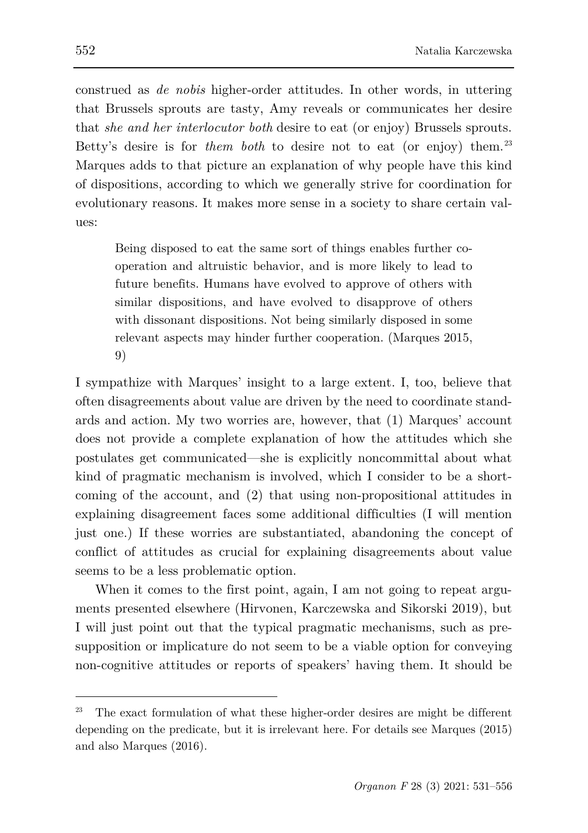construed as *de nobis* higher-order attitudes. In other words, in uttering that Brussels sprouts are tasty, Amy reveals or communicates her desire that *she and her interlocutor both* desire to eat (or enjoy) Brussels sprouts. Betty's desire is for *them both* to desire not to eat (or enjoy) them.<sup>[23](#page-21-0)</sup> Marques adds to that picture an explanation of why people have this kind of dispositions, according to which we generally strive for coordination for evolutionary reasons. It makes more sense in a society to share certain values:

Being disposed to eat the same sort of things enables further cooperation and altruistic behavior, and is more likely to lead to future benefits. Humans have evolved to approve of others with similar dispositions, and have evolved to disapprove of others with dissonant dispositions. Not being similarly disposed in some relevant aspects may hinder further cooperation. (Marques 2015, 9)

I sympathize with Marques' insight to a large extent. I, too, believe that often disagreements about value are driven by the need to coordinate standards and action. My two worries are, however, that (1) Marques' account does not provide a complete explanation of how the attitudes which she postulates get communicated—she is explicitly noncommittal about what kind of pragmatic mechanism is involved, which I consider to be a shortcoming of the account, and (2) that using non-propositional attitudes in explaining disagreement faces some additional difficulties (I will mention just one.) If these worries are substantiated, abandoning the concept of conflict of attitudes as crucial for explaining disagreements about value seems to be a less problematic option.

When it comes to the first point, again, I am not going to repeat arguments presented elsewhere (Hirvonen, Karczewska and Sikorski 2019), but I will just point out that the typical pragmatic mechanisms, such as presupposition or implicature do not seem to be a viable option for conveying non-cognitive attitudes or reports of speakers' having them. It should be

<span id="page-21-0"></span><sup>23</sup> The exact formulation of what these higher-order desires are might be different depending on the predicate, but it is irrelevant here. For details see Marques (2015) and also Marques (2016).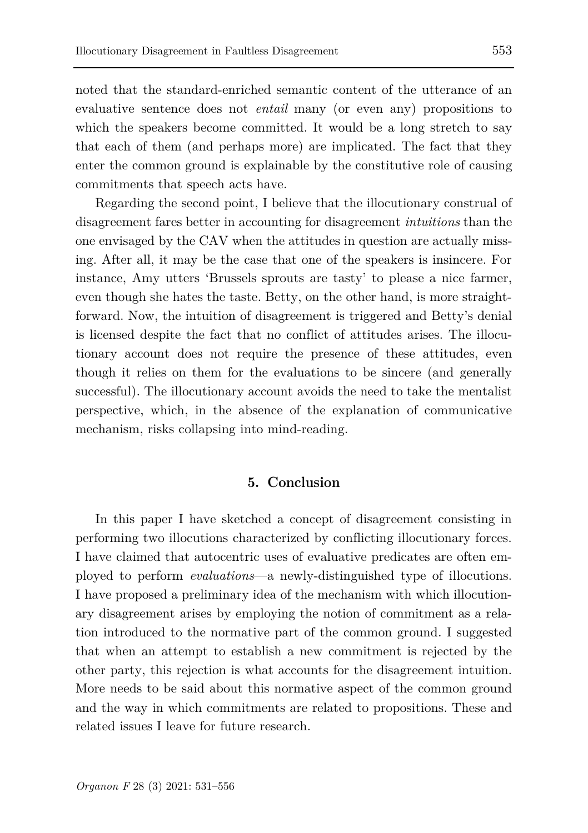noted that the standard-enriched semantic content of the utterance of an evaluative sentence does not *entail* many (or even any) propositions to which the speakers become committed. It would be a long stretch to say that each of them (and perhaps more) are implicated. The fact that they enter the common ground is explainable by the constitutive role of causing commitments that speech acts have.

Regarding the second point, I believe that the illocutionary construal of disagreement fares better in accounting for disagreement *intuitions* than the one envisaged by the CAV when the attitudes in question are actually missing. After all, it may be the case that one of the speakers is insincere. For instance, Amy utters 'Brussels sprouts are tasty' to please a nice farmer, even though she hates the taste. Betty, on the other hand, is more straightforward. Now, the intuition of disagreement is triggered and Betty's denial is licensed despite the fact that no conflict of attitudes arises. The illocutionary account does not require the presence of these attitudes, even though it relies on them for the evaluations to be sincere (and generally successful). The illocutionary account avoids the need to take the mentalist perspective, which, in the absence of the explanation of communicative mechanism, risks collapsing into mind-reading.

#### **5. Conclusion**

In this paper I have sketched a concept of disagreement consisting in performing two illocutions characterized by conflicting illocutionary forces. I have claimed that autocentric uses of evaluative predicates are often employed to perform *evaluations*—a newly-distinguished type of illocutions. I have proposed a preliminary idea of the mechanism with which illocutionary disagreement arises by employing the notion of commitment as a relation introduced to the normative part of the common ground. I suggested that when an attempt to establish a new commitment is rejected by the other party, this rejection is what accounts for the disagreement intuition. More needs to be said about this normative aspect of the common ground and the way in which commitments are related to propositions. These and related issues I leave for future research.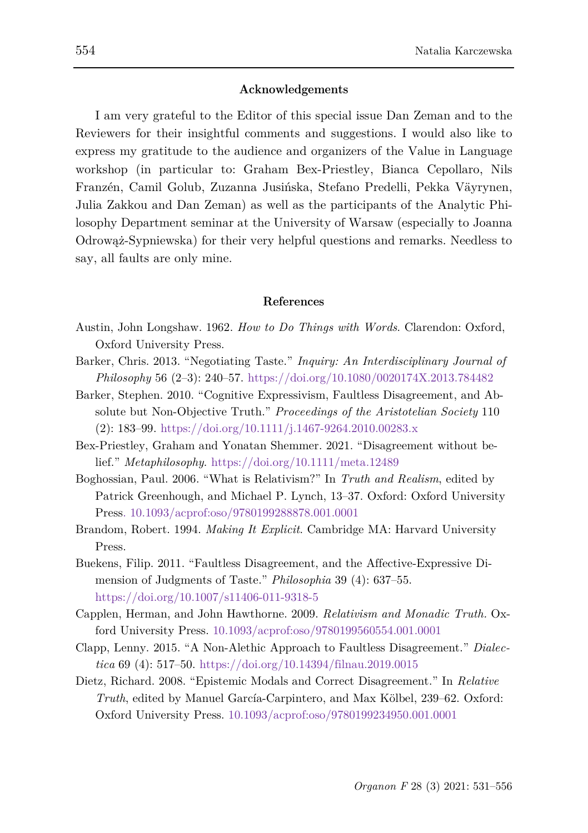#### **Acknowledgements**

I am very grateful to the Editor of this special issue Dan Zeman and to the Reviewers for their insightful comments and suggestions. I would also like to express my gratitude to the audience and organizers of the Value in Language workshop (in particular to: Graham Bex-Priestley, Bianca Cepollaro, Nils Franzén, Camil Golub, Zuzanna Jusińska, Stefano Predelli, Pekka Väyrynen, Julia Zakkou and Dan Zeman) as well as the participants of the Analytic Philosophy Department seminar at the University of Warsaw (especially to Joanna Odrowąż-Sypniewska) for their very helpful questions and remarks. Needless to say, all faults are only mine.

#### **References**

- Austin, John Longshaw. 1962. *How to Do Things with Words*. Clarendon: Oxford, Oxford University Press.
- Barker, Chris. 2013. "Negotiating Taste." *Inquiry: An Interdisciplinary Journal of Philosophy* 56 (2–3): 240–57.<https://doi.org/10.1080/0020174X.2013.784482>
- Barker, Stephen. 2010. "Cognitive Expressivism, Faultless Disagreement, and Absolute but Non-Objective Truth." *Proceedings of the Aristotelian Society* 110 (2): 183–99.<https://doi.org/10.1111/j.1467-9264.2010.00283.x>
- Bex-Priestley, Graham and Yonatan Shemmer. 2021. "Disagreement without belief." *Metaphilosophy*. <https://doi.org/10.1111/meta.12489>
- Boghossian, Paul. 2006. "What is Relativism?" In *Truth and Realism*, edited by Patrick Greenhough, and Michael P. Lynch, 13–37. Oxford: Oxford University Press. 10.1093/acprof:oso/9780199288878.001.0001
- Brandom, Robert. 1994. *Making It Explicit*. Cambridge MA: Harvard University Press.
- Buekens, Filip. 2011. "Faultless Disagreement, and the Affective-Expressive Dimension of Judgments of Taste." *Philosophia* 39 (4): 637–55. <https://doi.org/10.1007/s11406-011-9318-5>
- Capplen, Herman, and John Hawthorne. 2009. *Relativism and Monadic Truth.* Oxford University Press. 10.1093/acprof:oso/9780199560554.001.0001
- Clapp, Lenny. 2015. "A Non-Alethic Approach to Faultless Disagreement." *Dialectica* 69 (4): 517–50.<https://doi.org/10.14394/filnau.2019.0015>
- Dietz, Richard. 2008. "Epistemic Modals and Correct Disagreement." In *Relative Truth*, edited by Manuel García-Carpintero, and Max Kölbel, 239–62. Oxford: Oxford University Press. 10.1093/acprof:oso/9780199234950.001.0001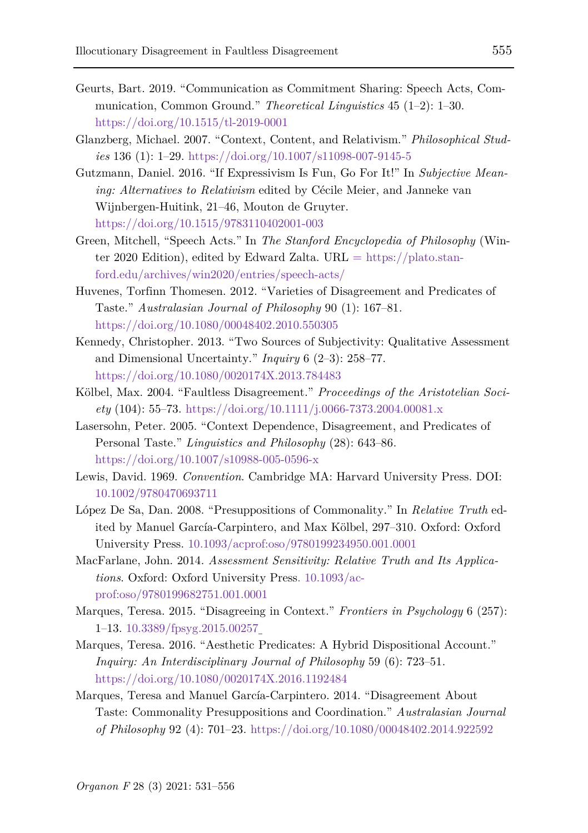- Geurts, Bart. 2019. "Communication as Commitment Sharing: Speech Acts, Communication, Common Ground." *Theoretical Linguistics* 45 (1–2): 1–30. <https://doi.org/10.1515/tl-2019-0001>
- Glanzberg, Michael. 2007. "Context, Content, and Relativism." *Philosophical Studies* 136 (1): 1–29.<https://doi.org/10.1007/s11098-007-9145-5>
- Gutzmann, Daniel. 2016. "If Expressivism Is Fun, Go For It!" In *Subjective Meaning: Alternatives to Relativism* edited by Cécile Meier, and Janneke van Wijnbergen-Huitink, 21–46, Mouton de Gruyter. <https://doi.org/10.1515/9783110402001-003>
- Green, Mitchell, "Speech Acts." In *The Stanford Encyclopedia of Philosophy* (Winter 2020 Edition), edited by Edward Zalta. URL  $=$  [https://plato.stan](https://plato.stanford.edu/archives/win2020/entries/speech-acts/)[ford.edu/archives/win2020/entries/speech-acts/](https://plato.stanford.edu/archives/win2020/entries/speech-acts/)
- Huvenes, Torfinn Thomesen. 2012. "Varieties of Disagreement and Predicates of Taste." *Australasian Journal of Philosophy* 90 (1): 167–81. <https://doi.org/10.1080/00048402.2010.550305>
- Kennedy, Christopher. 2013. "Two Sources of Subjectivity: Qualitative Assessment and Dimensional Uncertainty." *Inquiry* 6 (2–3): 258–77. <https://doi.org/10.1080/0020174X.2013.784483>
- Kölbel, Max. 2004. "Faultless Disagreement." *Proceedings of the Aristotelian Society* (104): 55–73.<https://doi.org/10.1111/j.0066-7373.2004.00081.x>
- Lasersohn, Peter. 2005. "Context Dependence, Disagreement, and Predicates of Personal Taste." *Linguistics and Philosophy* (28): 643–86. <https://doi.org/10.1007/s10988-005-0596-x>
- Lewis, David. 1969. *Convention*. Cambridge MA: Harvard University Press. DOI: 10.1002/9780470693711
- López De Sa, Dan. 2008. "Presuppositions of Commonality." In *Relative Truth* edited by Manuel García-Carpintero, and Max Kölbel, 297–310. Oxford: Oxford University Press. 10.1093/acprof:oso/9780199234950.001.0001
- MacFarlane, John. 2014. *Assessment Sensitivity: Relative Truth and Its Applications*. Oxford: Oxford University Press. 10.1093/acprof:oso/9780199682751.001.0001
- Marques, Teresa. 2015. "Disagreeing in Context." *Frontiers in Psychology* 6 (257): 1–13. 10.3389/fpsyg.2015.00257
- Marques, Teresa. 2016. "Aesthetic Predicates: A Hybrid Dispositional Account." *Inquiry: An Interdisciplinary Journal of Philosophy* 59 (6): 723–51. <https://doi.org/10.1080/0020174X.2016.1192484>
- Marques, Teresa and Manuel García-Carpintero. 2014. "Disagreement About Taste: Commonality Presuppositions and Coordination." *Australasian Journal of Philosophy* 92 (4): 701–23[. https://doi.org/10.1080/00048402.2014.922592](https://doi.org/10.1080/00048402.2014.922592)